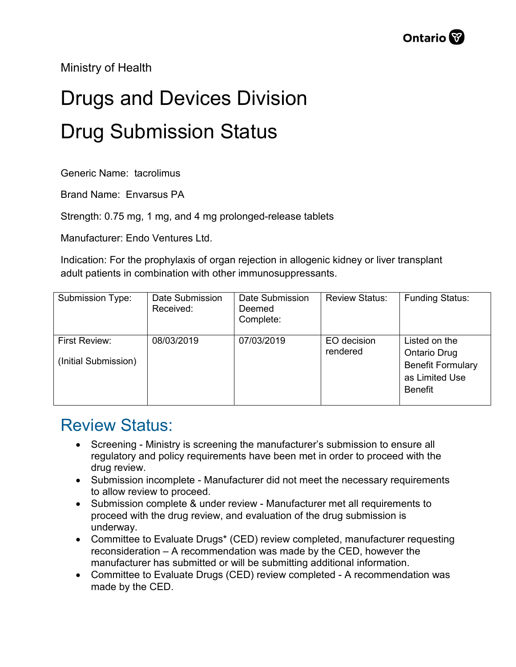Ministry of Health

## Drugs and Devices Division Drug Submission Status

Generic Name: tacrolimus

Brand Name: Envarsus PA

Strength: 0.75 mg, 1 mg, and 4 mg prolonged-release tablets

Manufacturer: Endo Ventures Ltd.

Indication: For the prophylaxis of organ rejection in allogenic kidney or liver transplant adult patients in combination with other immunosuppressants.

| Submission Type:                      | Date Submission<br>Received: | Date Submission<br>Deemed<br>Complete: | <b>Review Status:</b>   | <b>Funding Status:</b>                                                                               |
|---------------------------------------|------------------------------|----------------------------------------|-------------------------|------------------------------------------------------------------------------------------------------|
| First Review:<br>(Initial Submission) | 08/03/2019                   | 07/03/2019                             | EO decision<br>rendered | Listed on the<br><b>Ontario Drug</b><br><b>Benefit Formulary</b><br>as Limited Use<br><b>Benefit</b> |

## Review Status:

- Screening Ministry is screening the manufacturer's submission to ensure all regulatory and policy requirements have been met in order to proceed with the drug review.
- Submission incomplete Manufacturer did not meet the necessary requirements to allow review to proceed.
- Submission complete & under review Manufacturer met all requirements to proceed with the drug review, and evaluation of the drug submission is underway.
- Committee to Evaluate Drugs\* (CED) review completed, manufacturer requesting reconsideration – A recommendation was made by the CED, however the manufacturer has submitted or will be submitting additional information.
- Committee to Evaluate Drugs (CED) review completed A recommendation was made by the CED.